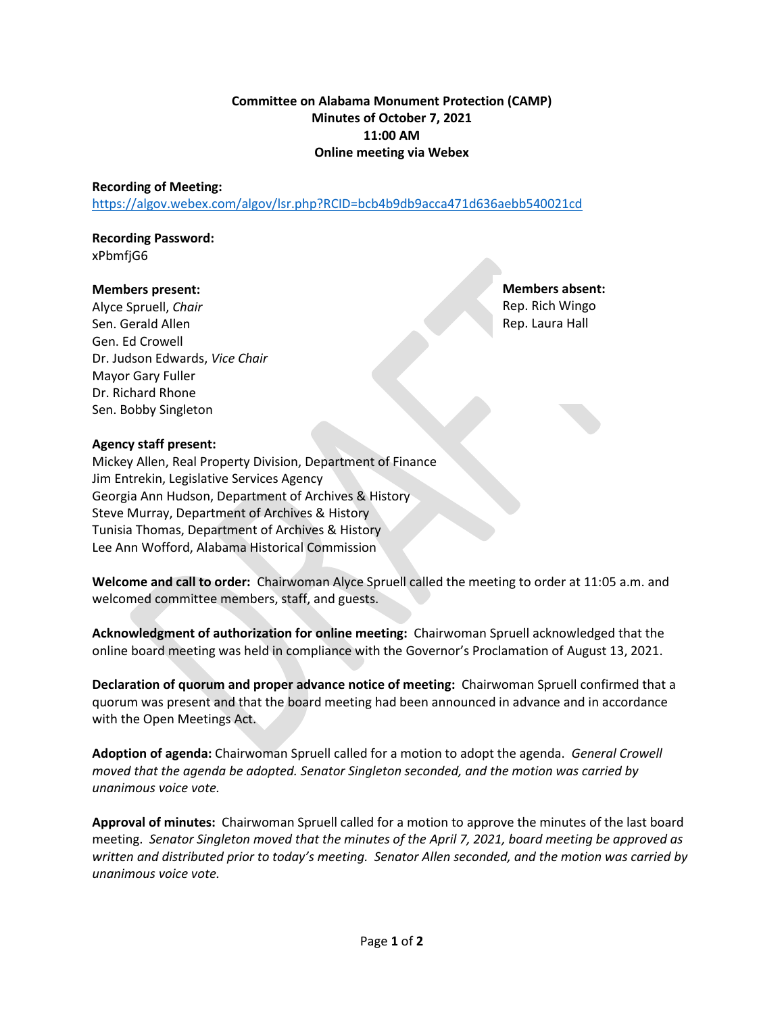# **Committee on Alabama Monument Protection (CAMP) Minutes of October 7, 2021 11:00 AM Online meeting via Webex**

### **Recording of Meeting:**

<https://algov.webex.com/algov/lsr.php?RCID=bcb4b9db9acca471d636aebb540021cd>

#### **Recording Password:** xPbmfjG6

#### **Members present:**

Alyce Spruell, *Chair* Sen. Gerald Allen Gen. Ed Crowell Dr. Judson Edwards, *Vice Chair* Mayor Gary Fuller Dr. Richard Rhone Sen. Bobby Singleton

**Members absent:** Rep. Rich Wingo Rep. Laura Hall

## **Agency staff present:**

Mickey Allen, Real Property Division, Department of Finance Jim Entrekin, Legislative Services Agency Georgia Ann Hudson, Department of Archives & History Steve Murray, Department of Archives & History Tunisia Thomas, Department of Archives & History Lee Ann Wofford, Alabama Historical Commission

**Welcome and call to order:** Chairwoman Alyce Spruell called the meeting to order at 11:05 a.m. and welcomed committee members, staff, and guests.

**Acknowledgment of authorization for online meeting:** Chairwoman Spruell acknowledged that the online board meeting was held in compliance with the Governor's Proclamation of August 13, 2021.

**Declaration of quorum and proper advance notice of meeting:** Chairwoman Spruell confirmed that a quorum was present and that the board meeting had been announced in advance and in accordance with the Open Meetings Act.

**Adoption of agenda:** Chairwoman Spruell called for a motion to adopt the agenda. *General Crowell moved that the agenda be adopted. Senator Singleton seconded, and the motion was carried by unanimous voice vote.*

**Approval of minutes:** Chairwoman Spruell called for a motion to approve the minutes of the last board meeting. *Senator Singleton moved that the minutes of the April 7, 2021, board meeting be approved as written and distributed prior to today's meeting. Senator Allen seconded, and the motion was carried by unanimous voice vote.*